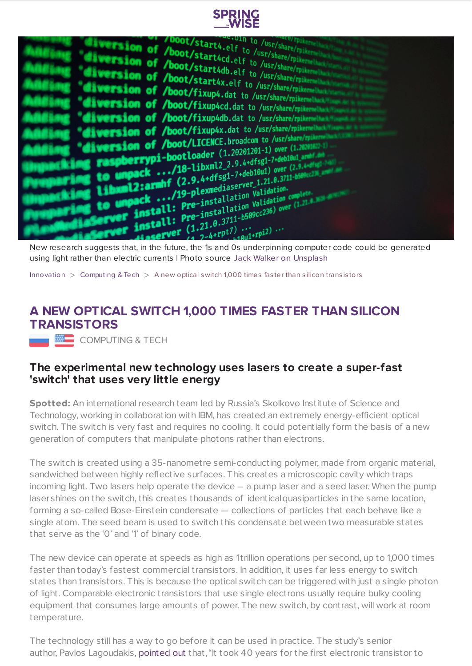



New research suggests that, in the future, the 1s and 0s underpinning computer code could be generated using light rather than electric currents | Photo source Jack Walker on [Unsplash](https://unsplash.com/photos/MPKQiDpMyqU)

[Innovation](https://www.springwise.com/search?type=innovation)  $>$  [Computing](https://www.springwise.com/search?type=innovation§or=computing) & Tech  $>$  A new optical switch 1,000 times faster than silicon transistors

## **A NEW OPTICAL SWITCH 1,000 TIMES FASTER THAN SILICON TRANSISTORS**

COMPUTING & TECH

## **The experimental new technology uses lasers to create a super-fast 'switch' that uses very little energy**

**Spotted:** An international research team led by Russia's Skolkovo Institute of Science and Technology, working in collaboration with IBM, has created an extremely energy-efficient optical switch. The switch is very fast and requires no cooling. It could potentially form the basis of a new generation of computers that manipulate photons rather than electrons.

The switch is created using a 35-nanometre semi-conducting polymer, made from organic material, sandwiched between highly reflective surfaces. This creates a microscopic cavity which traps incoming light. Two lasers help operate the device – a pump laser and a seed laser. When the pump lasershines on the switch, this creates thousands of identicalquasiparticles in the same location, forming a so-called Bose-Einstein condensate — collections of particles that each behave like a single atom. The seed beam is used to switch this condensate between two measurable states that serve as the '0' and '1' of binary code.

The new device can operate at speeds as high as 1trillion operations per second, up to 1,000 times faster than today's fastest commercial transistors. In addition, it uses far less energy to switch states than transistors. This is because the optical switch can be triggered with just a single photon of light. Comparable electronic transistors that use single electrons usually require bulky cooling equipment that consumes large amounts of power. The new switch, by contrast, will work at room temperature.

The technology still has a way to go before it can be used in practice. The study's senior author, Pavlos Lagoudakis, [pointed](https://singularityhub.com/2021/11/01/researchers-created-an-optical-switch-thats-up-to-1000-times-faster-than-silicon-transistors/) out that, "It took 40 years for the first electronic transistor to